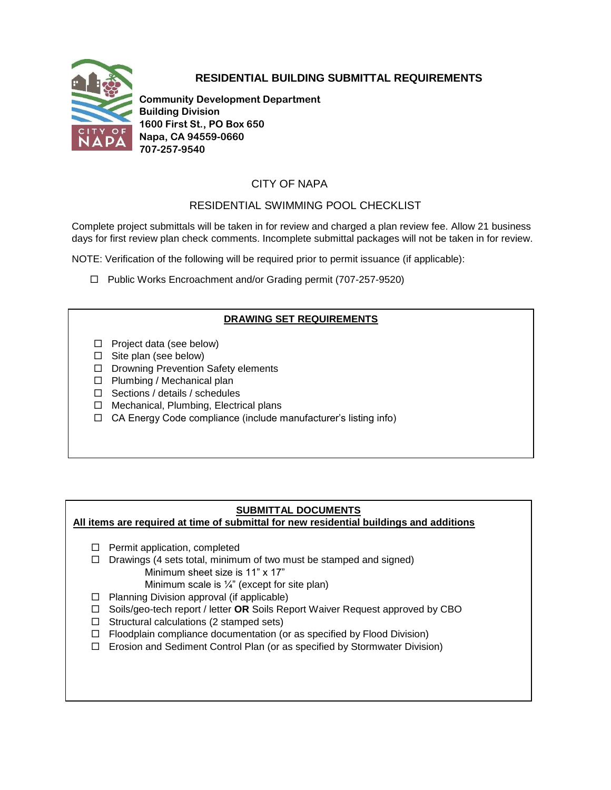



**Community Development Department Building Division 1600 First St., PO Box 650 Napa, CA 94559-0660 707-257-9540**

# CITY OF NAPA

# RESIDENTIAL SWIMMING POOL CHECKLIST

Complete project submittals will be taken in for review and charged a plan review fee. Allow 21 business days for first review plan check comments. Incomplete submittal packages will not be taken in for review.

NOTE: Verification of the following will be required prior to permit issuance (if applicable):

□ Public Works Encroachment and/or Grading permit (707-257-9520)

# **DRAWING SET REQUIREMENTS**

- $\Box$  Project data (see below)
- $\Box$  Site plan (see below)
- D Drowning Prevention Safety elements
- $\square$  Plumbing / Mechanical plan
- $\Box$  Sections / details / schedules
- $\Box$  Mechanical, Plumbing, Electrical plans
- $\Box$  CA Energy Code compliance (include manufacturer's listing info)

# **SUBMITTAL DOCUMENTS**

#### **All items are required at time of submittal for new residential buildings and additions**

- $\Box$  Permit application, completed
- $\Box$  Drawings (4 sets total, minimum of two must be stamped and signed)
	- Minimum sheet size is 11" x 17"

Minimum scale is  $\frac{1}{4}$ " (except for site plan)

- $\Box$  Planning Division approval (if applicable)
- Soils/geo-tech report / letter **OR** Soils Report Waiver Request approved by CBO
- $\Box$  Structural calculations (2 stamped sets)
- $\Box$  Floodplain compliance documentation (or as specified by Flood Division)
- □ Erosion and Sediment Control Plan (or as specified by Stormwater Division)